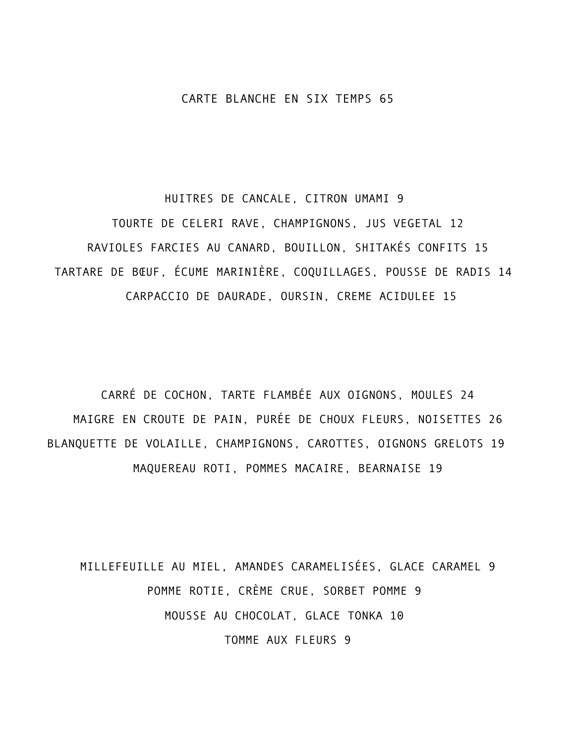#### CARTE BLANCHE EN SIX TEMPS 65

HUITRES DE CANCALE, CITRON UMAMI 9 TOURTE DE CELERI RAVE, CHAMPIGNONS, JUS VEGETAL 12 RAVIOLES FARCIES AU CANARD, BOUILLON, SHITAKÉS CONFITS 15 TARTARE DE BŒUF, ÉCUME MARINIÈRE, COQUILLAGES, POUSSE DE RADIS 14 CARPACCIO DE DAURADE, OURSIN, CREME ACIDULEE 15

CARRÉ DE COCHON, TARTE FLAMBÉE AUX OIGNONS, MOULES 24 MAIGRE EN CROUTE DE PAIN, PURÉE DE CHOUX FLEURS, NOISETTES 26 BLANQUETTE DE VOLAILLE, CHAMPIGNONS, CAROTTES, OIGNONS GRELOTS 19 MAQUEREAU ROTI, POMMES MACAIRE, BEARNAISE 19

MILLEFEUILLE AU MIEL, AMANDES CARAMELISÉES, GLACE CARAMEL 9 POMME ROTIE, CRÈME CRUE, SORBET POMME 9 MOUSSE AU CHOCOLAT, GLACE TONKA 10 TOMME AUX FLEURS 9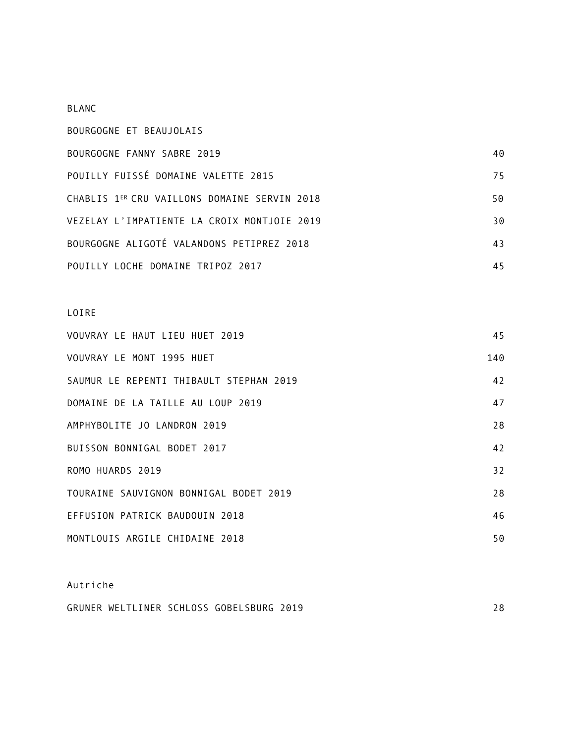#### BLANC

| BOURGOGNE ET BEAUJOLAIS                      |    |
|----------------------------------------------|----|
| BOURGOGNE FANNY SABRE 2019                   | 40 |
| POUILLY FUISSÉ DOMAINE VALETTE 2015          | 75 |
| CHABLIS 1ER CRU VAILLONS DOMAINE SERVIN 2018 | 50 |
| VEZELAY L'IMPATIENTE LA CROIX MONTJOIE 2019  | 30 |
| BOURGOGNE ALIGOTÉ VALANDONS PETIPREZ 2018    | 43 |
| POUILLY LOCHE DOMAINE TRIPOZ 2017            | 45 |

# LOIRE

| VOUVRAY LE HAUT LIEU HUET 2019          | 45  |
|-----------------------------------------|-----|
| VOUVRAY LE MONT 1995 HUET               | 140 |
| SAUMUR LE REPENTI THIBAULT STEPHAN 2019 | 42  |
| DOMAINE DE LA TAILLE AU LOUP 2019       | 47  |
| AMPHYBOLITE JO LANDRON 2019             | 28  |
| BUISSON BONNIGAL BODET 2017             | 42  |
| ROMO HUARDS 2019                        | 32  |
| TOURAINE SAUVIGNON BONNIGAL BODET 2019  | 28  |
| EFFUSION PATRICK BAUDOUIN 2018          | 46  |
| MONTLOUIS ARGILE CHIDAINE 2018          | 50  |

# Autriche

| GRUNER WELTLINER SCHLOSS GOBELSBURG 2019 |  |  |
|------------------------------------------|--|--|
|                                          |  |  |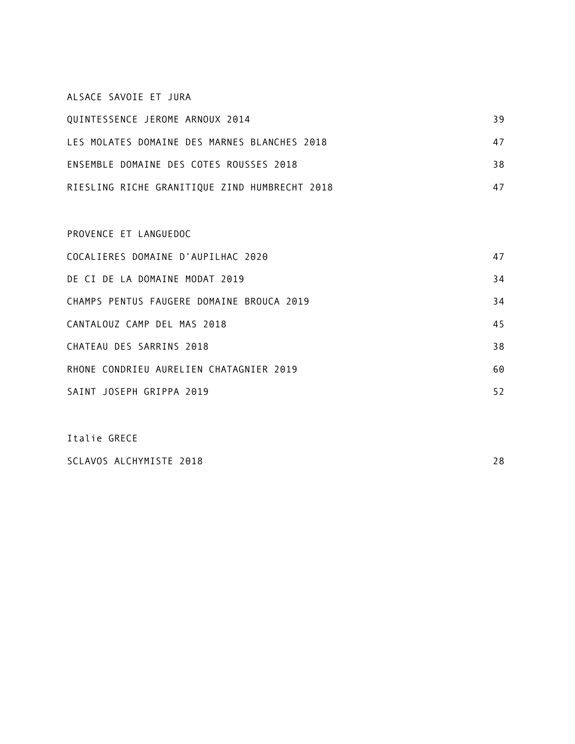#### ALSACE SAVOIE ET JURA

| QUINTESSENCE JEROME ARNOUX 2014               | 39 |
|-----------------------------------------------|----|
| LES MOLATES DOMAINE DES MARNES BLANCHES 2018  | 47 |
| ENSEMBLE DOMAINE DES COTES ROUSSES 2018       | 38 |
| RIESLING RICHE GRANITIQUE ZIND HUMBRECHT 2018 |    |

# PROVENCE ET LANGUEDOC COCALIERES DOMAINE D'AUPILHAC 2020 47 DE CI DE LA DOMAINE MODAT 2019 **34** CHAMPS PENTUS FAUGERE DOMAINE BROUCA 2019 34 CANTALOUZ CAMP DEL MAS 2018 45 CHATEAU DES SARRINS 2018 38 RHONE CONDRIEU AURELIEN CHATAGNIER 2019 60 SAINT JOSEPH GRIPPA 2019 52

Italie GRECE SCLAVOS ALCHYMISTE 2018 28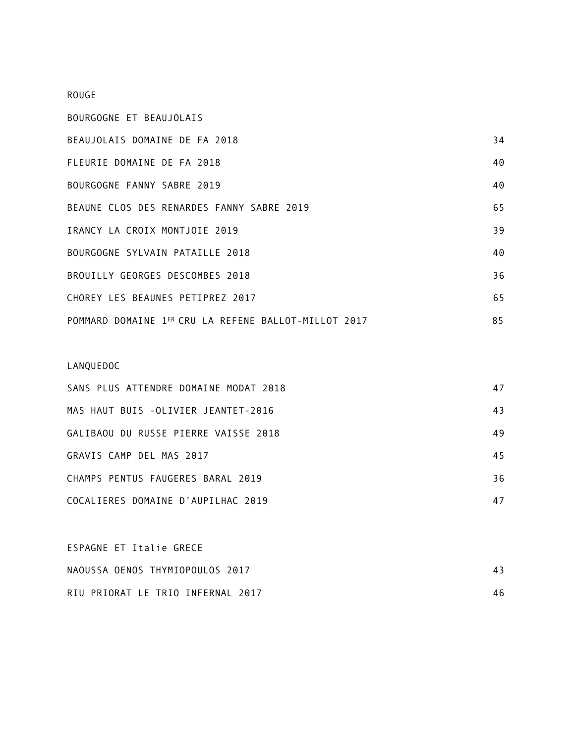### ROUGE

| BOURGOGNE ET BEAUJOLAIS                              |    |
|------------------------------------------------------|----|
| BEAUJOLAIS DOMAINE DE FA 2018                        | 34 |
| FLEURIE DOMAINE DE FA 2018                           | 40 |
| BOURGOGNE FANNY SABRE 2019                           | 40 |
| BEAUNE CLOS DES RENARDES FANNY SABRE 2019            | 65 |
| IRANCY LA CROIX MONTJOIE 2019                        | 39 |
| BOURGOGNE SYLVAIN PATAILLE 2018                      | 40 |
| BROUILLY GEORGES DESCOMBES 2018                      | 36 |
| CHOREY LES BEAUNES PETIPREZ 2017                     | 65 |
| POMMARD DOMAINE 1ER CRU LA REFENE BALLOT-MILLOT 2017 | 85 |

# LANQUEDOC

| SANS PLUS ATTENDRE DOMAINE MODAT 2018 | 47 |
|---------------------------------------|----|
| MAS HAUT BUIS -OLIVIER JEANTET-2016   | 43 |
| GALIBAOU DU RUSSE PIERRE VAISSE 2018  | 49 |
| GRAVIS CAMP DEL MAS 2017              | 45 |
| CHAMPS PENTUS FAUGERES BARAL 2019     | 36 |
| COCALIERES DOMAINE D'AUPILHAC 2019    | 47 |

| ESPAGNE ET Italie GRECE           |    |
|-----------------------------------|----|
| NAOUSSA OENOS THYMIOPOULOS 2017   | 43 |
| RIU PRIORAT LE TRIO INFERNAL 2017 | 46 |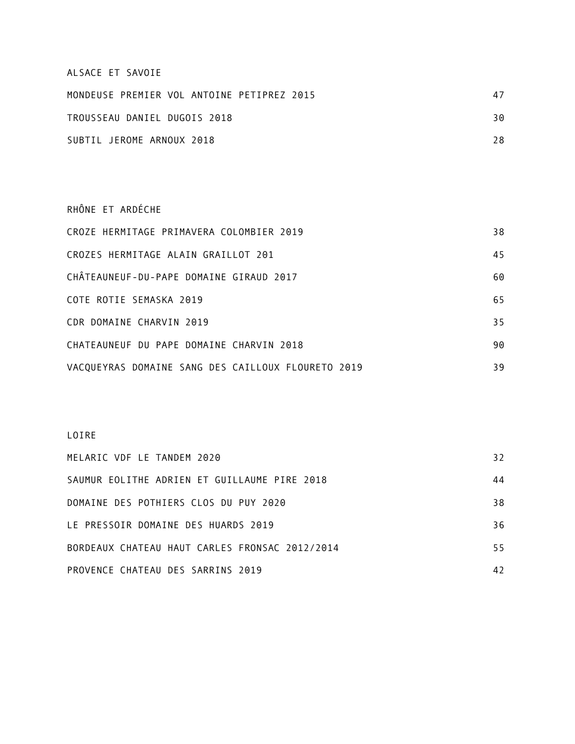#### ALSACE ET SAVOIE

| MONDEUSE PREMIER VOL ANTOINE PETIPREZ 2015 | 47 |
|--------------------------------------------|----|
| TROUSSEAU DANIEL DUGOIS 2018               | 30 |
| SUBTIL JEROME ARNOUX 2018                  | 28 |

RHÔNE ET ARDÉCHE CROZE HERMITAGE PRIMAVERA COLOMBIER 2019 38 CROZES HERMITAGE ALAIN GRAILLOT 201 45 CHÂTEAUNEUF-DU-PAPE DOMAINE GIRAUD 2017 60 COTE ROTIE SEMASKA 2019 65 CDR DOMAINE CHARVIN 2019 35 CHATEAUNEUF DU PAPE DOMAINE CHARVIN 2018 VACQUEYRAS DOMAINE SANG DES CAILLOUX FLOURETO 2019 39

#### LOIRE

| MELARIC VDF LE TANDEM 2020                     | 32 |
|------------------------------------------------|----|
| SAUMUR EOLITHE ADRIEN ET GUILLAUME PIRE 2018   | 44 |
| DOMAINE DES POTHIERS CLOS DU PUY 2020          | 38 |
| LE PRESSOIR DOMAINE DES HUARDS 2019            | 36 |
| BORDEAUX CHATEAU HAUT CARLES FRONSAC 2012/2014 | 55 |
| PROVENCE CHATEAU DES SARRINS 2019              | 42 |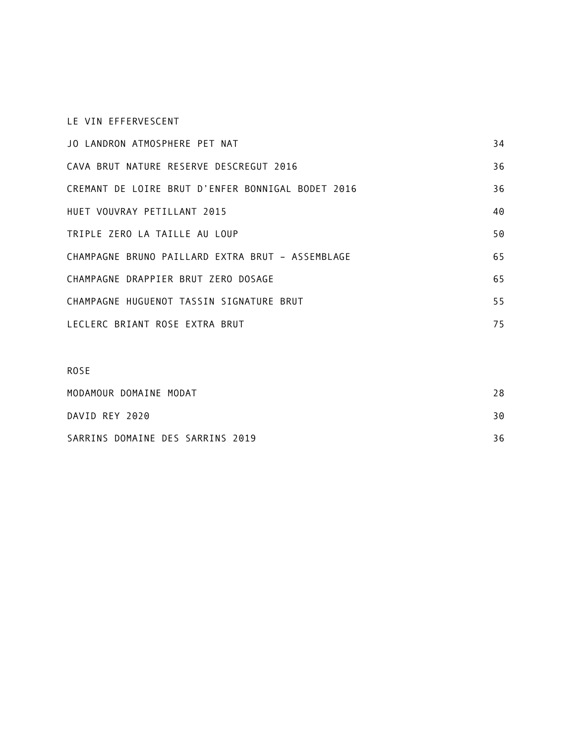### LE VIN EFFERVESCENT

| JO LANDRON ATMOSPHERE PET NAT                     | 34 |
|---------------------------------------------------|----|
| CAVA BRUT NATURE RESERVE DESCREGUT 2016           | 36 |
| CREMANT DE LOIRE BRUT D'ENFER BONNIGAL BODET 2016 | 36 |
| HUET VOUVRAY PETILLANT 2015                       | 40 |
| TRIPLE ZERO LA TAILLE AU LOUP                     | 50 |
| CHAMPAGNE BRUNO PAILLARD EXTRA BRUT - ASSEMBLAGE  | 65 |
| CHAMPAGNE DRAPPIER BRUT ZERO DOSAGE               | 65 |
| CHAMPAGNE HUGUENOT TASSIN SIGNATURE BRUT          | 55 |
| LECLERC BRIANT ROSE EXTRA BRUT                    | 75 |

| <b>ROSE</b>                      |    |
|----------------------------------|----|
| MODAMOUR DOMAINE MODAT           | 28 |
| DAVID REY 2020                   | 30 |
| SARRINS DOMAINE DES SARRINS 2019 | 36 |